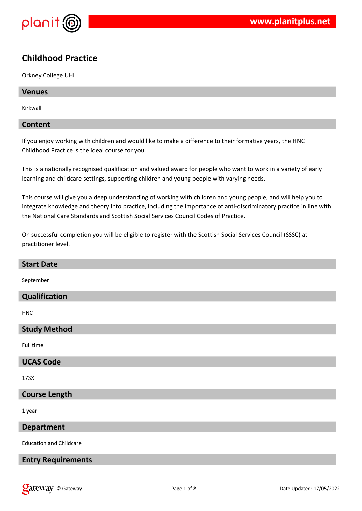

## **Childhood Practice**

Orkney College UHI

# **Venues**

Kirkwall

#### **Content**

If you enjoy working with children and would like to make a difference to their formative years, the HNC Childhood Practice is the ideal course for you.

This is a nationally recognised qualification and valued award for people who want to work in a variety of early learning and childcare settings, supporting children and young people with varying needs.

This course will give you a deep understanding of working with children and young people, and will help you to integrate knowledge and theory into practice, including the importance of anti-discriminatory practice in line with the National Care Standards and Scottish Social Services Council Codes of Practice.

On successful completion you will be eligible to register with the Scottish Social Services Council (SSSC) at practitioner level.

| <b>Start Date</b>              |
|--------------------------------|
| September                      |
| Qualification                  |
| <b>HNC</b>                     |
| <b>Study Method</b>            |
| Full time                      |
| <b>UCAS Code</b>               |
| 173X                           |
| <b>Course Length</b>           |
| 1 year                         |
| <b>Department</b>              |
| <b>Education and Childcare</b> |
| <b>Entry Requirements</b>      |